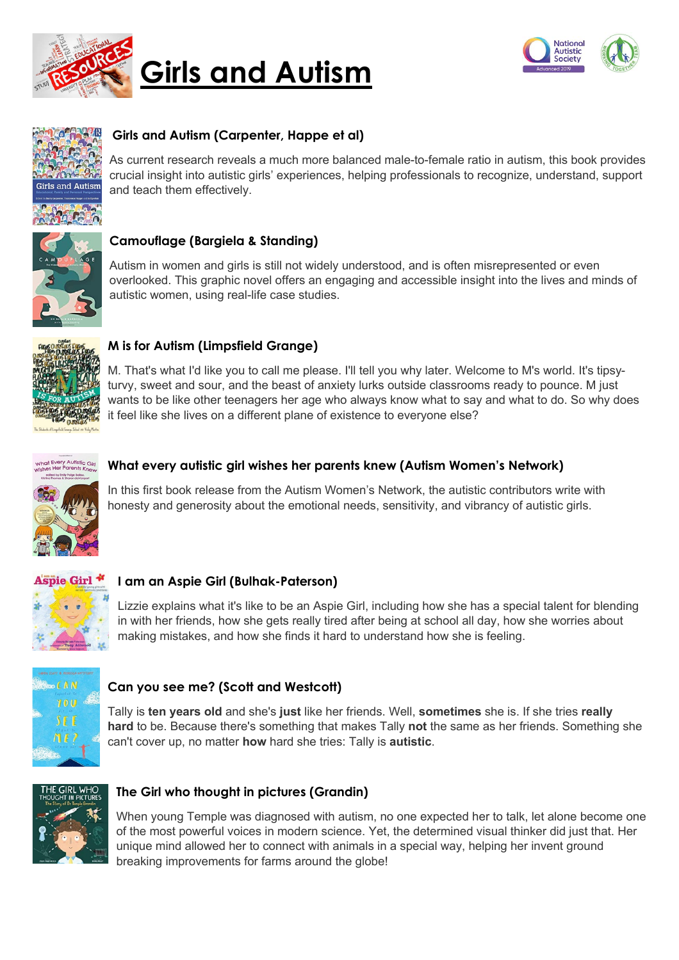

# **Girls and Autism**





# **Girls and Autism (Carpenter, Happe et al)**

As current research reveals a much more balanced male-to-female ratio in autism, this book provides crucial insight into autistic girls' experiences, helping professionals to recognize, understand, support and teach them effectively.



# **Camouflage (Bargiela & Standing)**

Autism in women and girls is still not widely understood, and is often misrepresented or even overlooked. This graphic novel offers an engaging and accessible insight into the lives and minds of autistic women, using real-life case studies.



# **M is for Autism (Limpsfield Grange)**

M. That's what I'd like you to call me please. I'll tell you why later. Welcome to M's world. It's tipsyturvy, sweet and sour, and the beast of anxiety lurks outside classrooms ready to pounce. M just wants to be like other teenagers her age who always know what to say and what to do. So why does it feel like she lives on a different plane of existence to everyone else?



#### **What every autistic girl wishes her parents knew (Autism Women's Network)**

In this first book release from the Autism Women's Network, the autistic contributors write with honesty and generosity about the emotional needs, sensitivity, and vibrancy of autistic girls.



# **I am an Aspie Girl (Bulhak-Paterson)**

Lizzie explains what it's like to be an Aspie Girl, including how she has a special talent for blending in with her friends, how she gets really tired after being at school all day, how she worries about making mistakes, and how she finds it hard to understand how she is feeling.



# **Can you see me? (Scott and Westcott)**

Tally is **ten years old** and she's **just** like her friends. Well, **sometimes** she is. If she tries **really hard** to be. Because there's something that makes Tally **not** the same as her friends. Something she can't cover up, no matter **how** hard she tries: Tally is **autistic**.



# **The Girl who thought in pictures (Grandin)**

When young Temple was diagnosed with autism, no one expected her to talk, let alone become one of the most powerful voices in modern science. Yet, the determined visual thinker did just that. Her unique mind allowed her to connect with animals in a special way, helping her invent ground breaking improvements for farms around the globe!